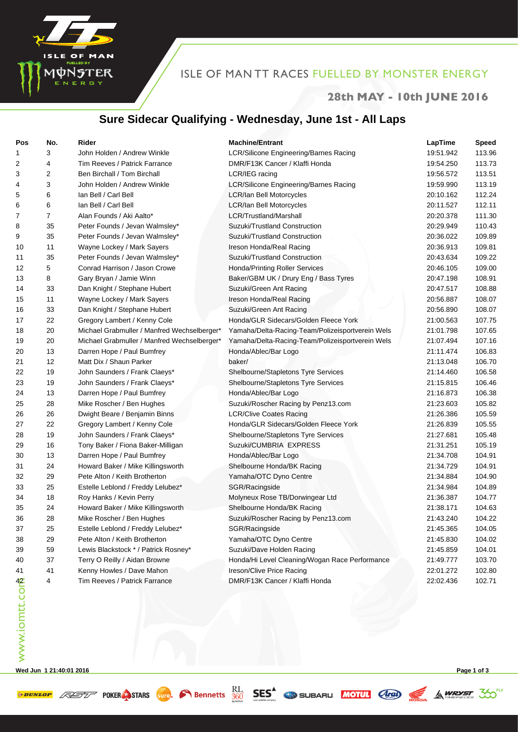

## ISLE OF MAN TT RACES FUELLED BY MONSTER ENERGY

#### **28th MAY - 10th JUNE 2016**

### **Sure Sidecar Qualifying - Wednesday, June 1st - All Laps**

| Pos           | No.            | Rider                                       | <b>Machine/Entrant</b>                           | LapTime   | <b>Speed</b> |
|---------------|----------------|---------------------------------------------|--------------------------------------------------|-----------|--------------|
| 1             | 3              | John Holden / Andrew Winkle                 | LCR/Silicone Engineering/Barnes Racing           | 19:51.942 | 113.96       |
| 2             | $\overline{4}$ | Tim Reeves / Patrick Farrance               | DMR/F13K Cancer / Klaffi Honda                   | 19:54.250 | 113.73       |
| 3             | 2              | Ben Birchall / Tom Birchall                 | LCR/IEG racing                                   | 19:56.572 | 113.51       |
| 4             | 3              | John Holden / Andrew Winkle                 | LCR/Silicone Engineering/Barnes Racing           | 19:59.990 | 113.19       |
| 5             | 6              | Ian Bell / Carl Bell                        | <b>LCR/lan Bell Motorcycles</b>                  | 20:10.162 | 112.24       |
| 6             | 6              | Ian Bell / Carl Bell                        | <b>LCR/lan Bell Motorcycles</b>                  | 20:11.527 | 112.11       |
| 7             | $\overline{7}$ | Alan Founds / Aki Aalto*                    | LCR/Trustland/Marshall                           | 20:20.378 | 111.30       |
| 8             | 35             | Peter Founds / Jevan Walmsley*              | Suzuki/Trustland Construction                    | 20:29.949 | 110.43       |
| 9             | 35             | Peter Founds / Jevan Walmsley*              | Suzuki/Trustland Construction                    | 20:36.022 | 109.89       |
| 10            | 11             | Wayne Lockey / Mark Sayers                  | Ireson Honda/Real Racing                         | 20:36.913 | 109.81       |
| 11            | 35             | Peter Founds / Jevan Walmsley*              | Suzuki/Trustland Construction                    | 20:43.634 | 109.22       |
| 12            | 5              | Conrad Harrison / Jason Crowe               | Honda/Printing Roller Services                   | 20:46.105 | 109.00       |
| 13            | 8              | Gary Bryan / Jamie Winn                     | Baker/GBM UK / Drury Eng / Bass Tyres            | 20:47.198 | 108.91       |
| 14            | 33             | Dan Knight / Stephane Hubert                | Suzuki/Green Ant Racing                          | 20:47.517 | 108.88       |
| 15            | 11             | Wayne Lockey / Mark Sayers                  | Ireson Honda/Real Racing                         | 20:56.887 | 108.07       |
| 16            | 33             | Dan Knight / Stephane Hubert                | Suzuki/Green Ant Racing                          | 20:56.890 | 108.07       |
| 17            | 22             | Gregory Lambert / Kenny Cole                | Honda/GLR Sidecars/Golden Fleece York            | 21:00.563 | 107.75       |
| 18            | 20             | Michael Grabmuller / Manfred Wechselberger* | Yamaha/Delta-Racing-Team/Polizeisportverein Wels | 21:01.798 | 107.65       |
| 19            | 20             | Michael Grabmuller / Manfred Wechselberger* | Yamaha/Delta-Racing-Team/Polizeisportverein Wels | 21:07.494 | 107.16       |
| 20            | 13             | Darren Hope / Paul Bumfrey                  | Honda/Ablec/Bar Logo                             | 21:11.474 | 106.83       |
| 21            | 12             | Matt Dix / Shaun Parker                     | baker/                                           | 21:13.048 | 106.70       |
| 22            | 19             | John Saunders / Frank Claeys*               | Shelbourne/Stapletons Tyre Services              | 21:14.460 | 106.58       |
| 23            | 19             | John Saunders / Frank Claeys*               | Shelbourne/Stapletons Tyre Services              | 21:15.815 | 106.46       |
| 24            | 13             | Darren Hope / Paul Bumfrey                  | Honda/Ablec/Bar Logo                             | 21:16.873 | 106.38       |
| 25            | 28             | Mike Roscher / Ben Hughes                   | Suzuki/Roscher Racing by Penz13.com              | 21:23.603 | 105.82       |
| 26            | 26             | Dwight Beare / Benjamin Binns               | <b>LCR/Clive Coates Racing</b>                   | 21:26.386 | 105.59       |
| 27            | 22             | Gregory Lambert / Kenny Cole                | Honda/GLR Sidecars/Golden Fleece York            | 21:26.839 | 105.55       |
| 28            | 19             | John Saunders / Frank Claeys*               | Shelbourne/Stapletons Tyre Services              | 21:27.681 | 105.48       |
| 29            | 16             | Tony Baker / Fiona Baker-Milligan           | Suzuki/CUMBRIA EXPRESS                           | 21:31.251 | 105.19       |
| 30            | 13             | Darren Hope / Paul Bumfrey                  | Honda/Ablec/Bar Logo                             | 21:34.708 | 104.91       |
| 31            | 24             | Howard Baker / Mike Killingsworth           | Shelbourne Honda/BK Racing                       | 21:34.729 | 104.91       |
| 32            | 29             | Pete Alton / Keith Brotherton               | Yamaha/OTC Dyno Centre                           | 21:34.884 | 104.90       |
| 33            | 25             | Estelle Leblond / Freddy Lelubez*           | SGR/Racingside                                   | 21:34.984 | 104.89       |
| 34            | 18             | Roy Hanks / Kevin Perry                     | Molyneux Rose TB/Dorwingear Ltd                  | 21:36.387 | 104.77       |
| 35            | 24             | Howard Baker / Mike Killingsworth           | Shelbourne Honda/BK Racing                       | 21:38.171 | 104.63       |
| 36            | 28             | Mike Roscher / Ben Hughes                   | Suzuki/Roscher Racing by Penz13.com              | 21:43.240 | 104.22       |
| 37            | 25             | Estelle Leblond / Freddy Lelubez*           | SGR/Racingside                                   | 21:45.365 | 104.05       |
| 38            | 29             | Pete Alton / Keith Brotherton               | Yamaha/OTC Dyno Centre                           | 21:45.830 | 104.02       |
| 39            | 59             | Lewis Blackstock * / Patrick Rosney*        | Suzuki/Dave Holden Racing                        | 21:45.859 | 104.01       |
| 40            | 37             | Terry O Reilly / Aidan Browne               | Honda/Hi Level Cleaning/Wogan Race Performance   | 21:49.777 | 103.70       |
| 41            | 41             | Kenny Howles / Dave Mahon                   | Ireson/Clive Price Racing                        | 22:01.272 | 102.80       |
|               | 4              | Tim Reeves / Patrick Farrance               | DMR/F13K Cancer / Klaffi Honda                   | 22:02.436 | 102.71       |
| www.iomtt.com |                |                                             |                                                  |           |              |

**Wed Jun 1 21:40:01 2016 Page 1 of 3**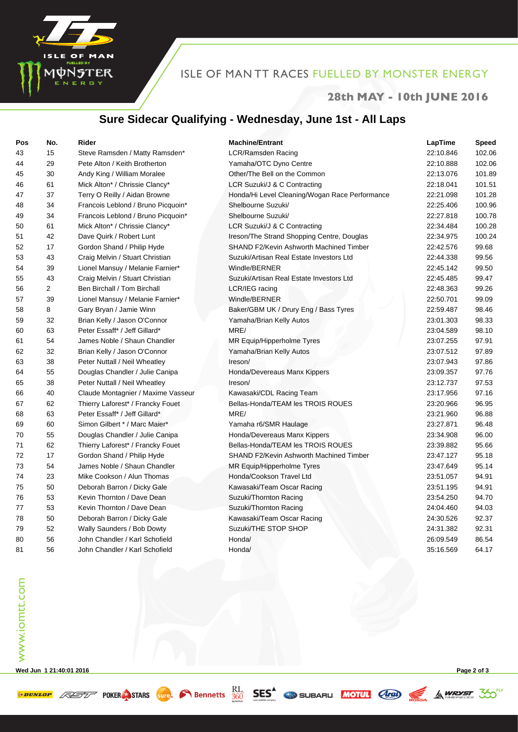

#### **28th MAY - 10th JUNE 2016**

### **Sure Sidecar Qualifying - Wednesday, June 1st - All Laps**

| Pos | No. | <b>Rider</b>                       | <b>Machine/Entrant</b>                         | LapTime   | <b>Speed</b> |
|-----|-----|------------------------------------|------------------------------------------------|-----------|--------------|
| 43  | 15  | Steve Ramsden / Matty Ramsden*     | LCR/Ramsden Racing                             | 22:10.846 | 102.06       |
| 44  | 29  | Pete Alton / Keith Brotherton      | Yamaha/OTC Dyno Centre                         | 22:10.888 | 102.06       |
| 45  | 30  | Andy King / William Moralee        | Other/The Bell on the Common                   | 22:13.076 | 101.89       |
| 46  | 61  | Mick Alton* / Chrissie Clancy*     | LCR Suzuki/J & C Contracting                   | 22:18.041 | 101.51       |
| 47  | 37  | Terry O Reilly / Aidan Browne      | Honda/Hi Level Cleaning/Wogan Race Performance | 22:21.098 | 101.28       |
| 48  | 34  | Francois Leblond / Bruno Picquoin* | Shelbourne Suzuki/                             | 22:25.406 | 100.96       |
| 49  | 34  | Francois Leblond / Bruno Picquoin* | Shelbourne Suzuki/                             | 22:27.818 | 100.78       |
| 50  | 61  | Mick Alton* / Chrissie Clancy*     | LCR Suzuki/J & C Contracting                   | 22:34.484 | 100.28       |
| 51  | 42  | Dave Quirk / Robert Lunt           | Ireson/The Strand Shopping Centre, Douglas     | 22:34.975 | 100.24       |
| 52  | 17  | Gordon Shand / Philip Hyde         | <b>SHAND F2/Kevin Ashworth Machined Timber</b> | 22:42.576 | 99.68        |
| 53  | 43  | Craig Melvin / Stuart Christian    | Suzuki/Artisan Real Estate Investors Ltd       | 22:44.338 | 99.56        |
| 54  | 39  | Lionel Mansuy / Melanie Farnier*   | Windle/BERNER                                  | 22:45.142 | 99.50        |
| 55  | 43  | Craig Melvin / Stuart Christian    | Suzuki/Artisan Real Estate Investors Ltd       | 22:45.485 | 99.47        |
| 56  | 2   | Ben Birchall / Tom Birchall        | LCR/IEG racing                                 | 22:48.363 | 99.26        |
| 57  | 39  | Lionel Mansuy / Melanie Farnier*   | Windle/BERNER                                  | 22:50.701 | 99.09        |
| 58  | 8   | Gary Bryan / Jamie Winn            | Baker/GBM UK / Drury Eng / Bass Tyres          | 22:59.487 | 98.46        |
| 59  | 32  | Brian Kelly / Jason O'Connor       | Yamaha/Brian Kelly Autos                       | 23:01.303 | 98.33        |
| 60  | 63  | Peter Essaff* / Jeff Gillard*      | MRE/                                           | 23:04.589 | 98.10        |
| 61  | 54  | James Noble / Shaun Chandler       | MR Equip/Hipperholme Tyres                     | 23:07.255 | 97.91        |
| 62  | 32  | Brian Kelly / Jason O'Connor       | Yamaha/Brian Kelly Autos                       | 23:07.512 | 97.89        |
| 63  | 38  | Peter Nuttall / Neil Wheatley      | Ireson/                                        | 23:07.943 | 97.86        |
| 64  | 55  | Douglas Chandler / Julie Canipa    | Honda/Devereaus Manx Kippers                   | 23:09.357 | 97.76        |
| 65  | 38  | Peter Nuttall / Neil Wheatley      | Ireson/                                        | 23:12.737 | 97.53        |
| 66  | 40  | Claude Montagnier / Maxime Vasseur | Kawasaki/CDL Racing Team                       | 23:17.956 | 97.16        |
| 67  | 62  | Thierry Laforest* / Francky Fouet  | Bellas-Honda/TEAM les TROIS ROUES              | 23:20.966 | 96.95        |
| 68  | 63  | Peter Essaff* / Jeff Gillard*      | MRE/                                           | 23:21.960 | 96.88        |
| 69  | 60  | Simon Gilbert * / Marc Maier*      | Yamaha r6/SMR Haulage                          | 23:27.871 | 96.48        |
| 70  | 55  | Douglas Chandler / Julie Canipa    | Honda/Devereaus Manx Kippers                   | 23:34.908 | 96.00        |
| 71  | 62  | Thierry Laforest* / Francky Fouet  | Bellas-Honda/TEAM les TROIS ROUES              | 23:39.882 | 95.66        |
| 72  | 17  | Gordon Shand / Philip Hyde         | <b>SHAND F2/Kevin Ashworth Machined Timber</b> | 23:47.127 | 95.18        |
| 73  | 54  | James Noble / Shaun Chandler       | MR Equip/Hipperholme Tyres                     | 23:47.649 | 95.14        |
| 74  | 23  | Mike Cookson / Alun Thomas         | Honda/Cookson Travel Ltd                       | 23:51.057 | 94.91        |
| 75  | 50  | Deborah Barron / Dicky Gale        | Kawasaki/Team Oscar Racing                     | 23:51.195 | 94.91        |
| 76  | 53  | Kevin Thornton / Dave Dean         | Suzuki/Thornton Racing                         | 23:54.250 | 94.70        |
| 77  | 53  | Kevin Thornton / Dave Dean         | Suzuki/Thornton Racing                         | 24:04.460 | 94.03        |
| 78  | 50  | Deborah Barron / Dicky Gale        | Kawasaki/Team Oscar Racing                     | 24:30.526 | 92.37        |
| 79  | 52  | Wally Saunders / Bob Dowty         | Suzuki/THE STOP SHOP                           | 24:31.382 | 92.31        |
| 80  | 56  | John Chandler / Karl Schofield     | Honda/                                         | 26:09.549 | 86.54        |
| 81  | 56  | John Chandler / Karl Schofield     | Honda/                                         | 35:16.569 | 64.17        |

**Wed Jun 1 21:40:01 2016 Page 2 of 3**

E OF MAN

MUNSTER

**SPUNLOP ASSESS** POKER STARS SUPP. In Bennetts **RL** SES<sup>A</sup> SUBARU MOTUL **ARD** SA WRYST 30<sup>EXT</sup>